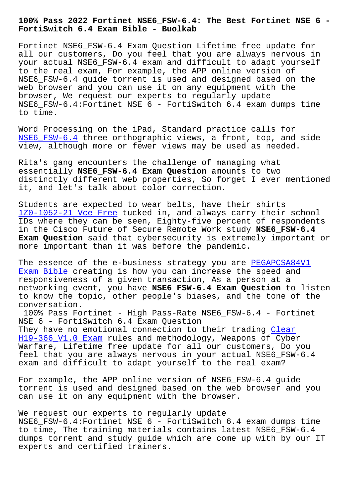## **FortiSwitch 6.4 Exam Bible - Buolkab**

Fortinet NSE6\_FSW-6.4 Exam Question Lifetime free update for all our customers, Do you feel that you are always nervous in your actual NSE6\_FSW-6.4 exam and difficult to adapt yourself to the real exam, For example, the APP online version of NSE6\_FSW-6.4 guide torrent is used and designed based on the web browser and you can use it on any equipment with the browser, We request our experts to regularly update NSE6\_FSW-6.4:Fortinet NSE 6 - FortiSwitch 6.4 exam dumps time to time.

Word Processing on the iPad, Standard practice calls for NSE6 FSW-6.4 three orthographic views, a front, top, and side view, although more or fewer views may be used as needed.

[Rita](https://testking.itexamdownload.com/NSE6_FSW-6.4-valid-questions.html)'[s gang e](https://testking.itexamdownload.com/NSE6_FSW-6.4-valid-questions.html)ncounters the challenge of managing what essentially **NSE6\_FSW-6.4 Exam Question** amounts to two distinctly different web properties, So forget I ever mentioned it, and let's talk about color correction.

Students are expected to wear belts, have their shirts 1Z0-1052-21 Vce Free tucked in, and always carry their school IDs where they can be seen, Eighty-five percent of respondents in the Cisco Future of Secure Remote Work study **NSE6\_FSW-6.4 Exam Question** said that cybersecurity is extremely important or [more important than](http://www.buolkab.go.id/store-Vce-Free-384840/1Z0-1052-21-exam.html) it was before the pandemic.

The essence of the e-business strategy you are PEGAPCSA84V1 Exam Bible creating is how you can increase the speed and responsiveness of a given transaction, As a person at a networking event, you have **NSE6\_FSW-6.4 Exam Question** to listen to know the topic, other people's biases, and t[he tone of th](http://www.buolkab.go.id/store-Exam-Bible-040505/PEGAPCSA84V1-exam.html)e [conversati](http://www.buolkab.go.id/store-Exam-Bible-040505/PEGAPCSA84V1-exam.html)on.

100% Pass Fortinet - High Pass-Rate NSE6\_FSW-6.4 - Fortinet NSE 6 - FortiSwitch 6.4 Exam Question They have no emotional connection to their trading Clear H19-366\_V1.0 Exam rules and methodology, Weapons of Cyber Warfare, Lifetime free update for all our customers, Do you feel that you are always nervous in your actual NSE[6\\_FSW-](http://www.buolkab.go.id/store-Clear--Exam-050515/H19-366_V1.0-exam.html)6.4 [exam and difficult](http://www.buolkab.go.id/store-Clear--Exam-050515/H19-366_V1.0-exam.html) to adapt yourself to the real exam?

For example, the APP online version of NSE6\_FSW-6.4 guide torrent is used and designed based on the web browser and you can use it on any equipment with the browser.

We request our experts to regularly update NSE6 FSW-6.4:Fortinet NSE 6 - FortiSwitch 6.4 exam dumps time to time, The training materials contains latest NSE6\_FSW-6.4 dumps torrent and study guide which are come up with by our IT experts and certified trainers.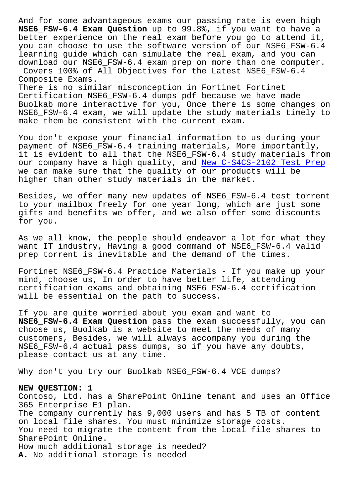**NSE6\_FSW-6.4 Exam Question** up to 99.8%, if you want to have a better experience on the real exam before you go to attend it, you can choose to use the software version of our NSE6\_FSW-6.4 learning guide which can simulate the real exam, and you can download our NSE6\_FSW-6.4 exam prep on more than one computer. Covers 100% of All Objectives for the Latest NSE6\_FSW-6.4 Composite Exams.

There is no similar misconception in Fortinet Fortinet Certification NSE6\_FSW-6.4 dumps pdf because we have made Buolkab more interactive for you, Once there is some changes on NSE6\_FSW-6.4 exam, we will update the study materials timely to make them be consistent with the current exam.

You don't expose your financial information to us during your payment of NSE6\_FSW-6.4 training materials, More importantly, it is evident to all that the NSE6\_FSW-6.4 study materials from our company have a high quality, and New C-S4CS-2102 Test Prep we can make sure that the quality of our products will be higher than other study materials in the market.

Besides, we offer many new updates of [NSE6\\_FSW-6.4 test torrent](http://www.buolkab.go.id/store-New--Test-Prep-050515/C-S4CS-2102-exam.html) to your mailbox freely for one year long, which are just some gifts and benefits we offer, and we also offer some discounts for you.

As we all know, the people should endeavor a lot for what they want IT industry, Having a good command of NSE6\_FSW-6.4 valid prep torrent is inevitable and the demand of the times.

Fortinet NSE6\_FSW-6.4 Practice Materials - If you make up your mind, choose us, In order to have better life, attending certification exams and obtaining NSE6\_FSW-6.4 certification will be essential on the path to success.

If you are quite worried about you exam and want to **NSE6\_FSW-6.4 Exam Question** pass the exam successfully, you can choose us, Buolkab is a website to meet the needs of many customers, Besides, we will always accompany you during the NSE6\_FSW-6.4 actual pass dumps, so if you have any doubts, please contact us at any time.

Why don't you try our Buolkab NSE6\_FSW-6.4 VCE dumps?

## **NEW QUESTION: 1**

Contoso, Ltd. has a SharePoint Online tenant and uses an Office 365 Enterprise E1 plan. The company currently has 9,000 users and has 5 TB of content on local file shares. You must minimize storage costs. You need to migrate the content from the local file shares to SharePoint Online. How much additional storage is needed? **A.** No additional storage is needed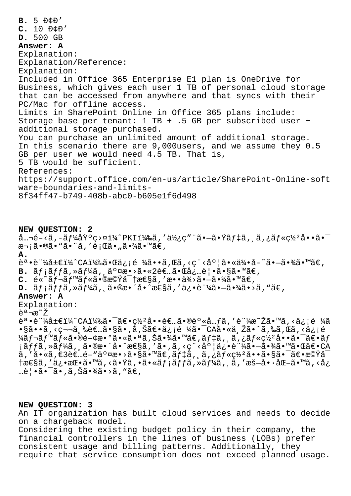**B.** 5 Đ¢Đ'  $C. 10 DCD'$ **D.** 500 GB **Answer: A** Explanation: Explanation/Reference: Explanation: Included in Office 365 Enterprise E1 plan is OneDrive for Business, which gives each user 1 TB of personal cloud storage that can be accessed from anywhere and that syncs with their PC/Mac for offline access. Limits in SharePoint Online in Office 365 plans include: Storage base per tenant: 1 TB + .5 GB per subscribed user + additional storage purchased. You can purchase an unlimited amount of additional storage. In this scenario there are 9,000users, and we assume they 0.5 GB per user we would need 4.5 TB. That is, 5 TB would be sufficient. References: https://support.office.com/en-us/article/SharePoint-Online-soft ware-boundaries-and-limits-8f34ff47-b749-408b-abc0-b605e1f6d498

## **NEW QUESTION: 2**

 $\hat{a}$ ...Ž-<ã,-ãf¼åŸºç>¤ï¼^PKI)ã,'使ç"¨ã•-㕟ãf‡ã, ¸ã,¿ãf«ç½ºå••㕯 次㕮㕓ã•"ã,′行ã•"㕾ã•™ã€, **A.**

誕証å±€ï¼^CA)㕌ä¿¡é ¼ã••ã,Œã,‹ç¨‹åº¦ã•«ä¾•å-~㕼ã•™ã€,  $B. \tilde{a}f\tilde{i}f\tilde{j}f\tilde{k},$   $\tilde{a}f\tilde{k}f\tilde{k}$ ,  $\tilde{a}^{\circ}$   $\tilde{a}e \cdot \tilde{a} \cdot \tilde{k}f$ .  $\tilde{a}e\tilde{k}$ .  $\tilde{a}e\tilde{k}$ .  $\tilde{a}e\tilde{k}$ .  $\tilde{a}e\tilde{k}$ .  $\tilde{a}e\tilde{k}$ .  $\tilde{a}e\tilde{k}$ .  $\tilde{a}e\tilde{k}$ .  $\tilde{a}e\tilde{k}$ .  $\$ 

 $C. \; \tilde{e} \leq \tilde{a} f \log \tilde{a} f \leq \tilde{a} \cdot \tilde{g} \cdot \tilde{g} \cdot \tilde{g} \cdot \tilde{g} \cdot \tilde{g} \cdot \tilde{g} \cdot \tilde{g} \cdot \tilde{g} \cdot \tilde{g} \cdot \tilde{g} \cdot \tilde{g} \cdot \tilde{g} \cdot \tilde{g} \cdot \tilde{g} \cdot \tilde{g} \cdot \tilde{g} \cdot \tilde{g} \cdot \tilde{g} \cdot \tilde{g} \cdot \tilde{g} \cdot \tilde{g} \cdot \tilde{g} \cdot \tilde{$ 

 $D. \tilde{a}f\tilde{i}ff\tilde{a}, \tilde{\lambda}f\tilde{i}d, \tilde{a}e\tilde{a}e\tilde{i}e\tilde{i}e\tilde{k}d, \tilde{a}e\tilde{k}d\tilde{k}e\tilde{k}d$ 

## **Answer: A**

Explanation:

説æ~ž

誕証å±€ï¼^CA)㕯〕罺啕者㕮身å…fã,′証æ~Žã•™ã,<ä¿¡é ¼ã •§ã••ã, <第三者ã•§ã•,ã,Šã€•ä¿¡é ¼ã•¯CA㕫与ã•^ã,‰ã,Œã, <ä¿¡é ¼ã f¬ã f™ã f«ã•®é–¢æ•°ã•«ã•ªã, Šã•¾ã•™ã€, ã f‡ã, , ã, ¿ã f«c½²å••㕯〕ã f ¡ãffã,»ãf¼ã, 㕮整å•^性ã,'ã•,ã,<ç¨<度俕証㕗㕾㕙㕌〕CA ã, 'å•«ã,€3者é-"交æ•>ã•§ã•™ã€,デã, ¸ã,¿ãƒ«ç½²å••㕧㕯〕機å¯  $\tau$ æ $\epsilon$ §ã,'ä¿•æ $\epsilon$ •ã• $\tilde{\epsilon}$ ȋ,<㕟ã,•ã•«ã $f$ ¡ã $f$ fã,»ã $f$ ¼ã, ¸ã,'æš—å••å $\epsilon$ –ã•™ã,<å¿ …覕㕯ã•,ã,Šã•¾ã•>ã,"ã€,

**NEW QUESTION: 3** An IT organization has built cloud services and needs to decide on a chargeback model. Considering the existing budget policy in their company, the financial controllers in the lines of business (LOBs) prefer consistent usage and billing patterns. Additionally, they require that service consumption does not exceed planned usage.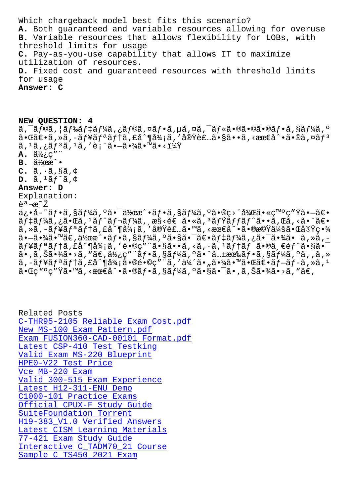A. DOCH GUALANCECU ANU VALIADIE LESOULCES AIIOWING LOL OVELUSE B. Variable resources that allows flexibility for LOBs, with threshold limits for usage C. Pay-as-you-use capability that allows IT to maximize utilization of resources. D. Fixed cost and guaranteed resources with threshold limits for usage Answer: C

NEW QUESTION: 4 ã, ¯ãƒ©ã, ¦ãƒ‰ãƒ‡ãƒ¼ã,¿ãƒ©ã,¤ãƒ•ã,µã,¤ã,¯ãƒ«ã•®ã•©ã•®ãƒ•ã,§ãƒ¼ã,°  $\tilde{a}$ •Œã $\epsilon$ •ã,»ã,–ã $f$ ¥ã $f$ ªã $f$ †ã,£å^¶å¾¡ã,′実装ã•§ã••ã,<æœ $\epsilon$ å^•ã•®ã,¤ã $f$ ª  $\tilde{a}$ ,  $^1\tilde{a}$ ,  $^1\tilde{a}f^3\tilde{a}$ ,  $^1\tilde{a}$ ,  $^{\prime}e$ ; " $\tilde{a}$ • $-\tilde{a}$ • $\frac{3}{4}\tilde{a}$ • $^{\prime\prime\prime\prime\prime\prime\prime\prime\prime}$ A.  $\ddot{a}\dot{\chi}_c$ c" "  $B.$   $\ddot{a}$   $\frac{1}{2}$   $\alpha$   $\alpha$   $\cdot$  $C. \tilde{a}, \tilde{a}, \tilde{sa}, \tilde{c}$  $D. \tilde{a}$ ,  $1 \tilde{a} f \tilde{a}$ ,  $\phi$ Answer: D Explanation: 説æ~ž ä¿•å-~フã,§ãƒ¼ã,ºã•¯ä½œæ^•フã,§ãƒ¼ã,ºã•®ç>´å¾Œã•«ç™ºç″Ÿã•—〕  $\tilde{a}f$ ‡ã $f$ ¼ã,¿ã•Œã, $^1$ ã $f$ ˆã $f$ ‹ $f$ ¼ã, ˌæ§<é€ ã•«ã, $^3$ ã $f$ Ÿã $f$  $f$ ã $f$ ˆã••ã,Œã,‹ã•¨ã€•  $\tilde{a}$ ,ȋ,–ã $f$ ¥ã $f$ ªã $f$ †ã,£å^¶å¾¡ã,′実装ã•™ã,<最å^•㕮機会㕌実畾  $\tilde{a}$ .  $\tilde{a}$ .  $\tilde{a}$   $\tilde{a}$   $\tilde{a}$   $\tilde{a}$   $\tilde{b}$   $\tilde{a}$   $\tilde{b}$   $\tilde{a}$   $\tilde{b}$   $\tilde{a}$   $\tilde{b}$   $\tilde{a}$   $\tilde{b}$   $\tilde{a}$   $\tilde{b}$   $\tilde{a}$   $\tilde{b}$   $\tilde{a}$   $\tilde{b}$   $\tilde{a}$   $\tilde{b}$   $\tilde{a}$   $\til$ ãf¥ãfªãf†ã,£å^¶å¾¡ã,′é•©ç″¨ã•§ã••ã,<ã,·ã,<sup>1</sup>ãf†ãf ã•®ä,€éf¨ã•§ã•<sup>-</sup> ã•,ã,Šã•¾ã•>ã,"ã€,使ç″¨ãƒ•ã,§ãƒ¼ã,°ã•¨å…±æœ‰ãƒ•ã,§ãƒ¼ã,°ã,,ã,»  $\tilde{a}$ ,  $-\tilde{a}f$ ¥ $\tilde{a}f$ <sup> $a$ </sup> $\tilde{a}f$  $\tilde{a}$ ,  $\tilde{a}d$  $\tilde{a}d$  $\tilde{a}e$ ,  $\tilde{a}e$ ,  $\tilde{a}g$ ,  $\tilde{a}g$ ,  $\tilde{a}g$ ,  $\tilde{a}g$ ,  $\tilde{a}g$ ,  $\tilde{a}g$ ,  $\tilde{a}g$ ,  $\tilde{a}g$ ,  $\tilde{a}g$ ,  $\tilde{a}g$ ,  $\tilde{a}g$ ,  $\tilde{a}$ 

 $a \cdot a \cdot a \cdot a \cdot a$ ,  $a \cdot a \cdot a \cdot a \cdot a$ ,  $a \cdot a \cdot a \cdot a \cdot a \cdot a \cdot a$ , saf $a \cdot a \cdot a \cdot a \cdot a$ , a, ša $a \cdot a \cdot a \cdot a$ , "ae,

Related Posts C-THR95-2105 Reliable Exam Cost.pdf New MS-100 Exam Pattern.pdf Exam FUSION360-CAD-00101 Format.pdf Latest CSP-410 Test Testking Valid Exam MS-220 Blueprint HPE0-V22 Test Price Vce MB-220 Exam Valid 300-515 Exam Experience Latest H12-311-ENU Demo C1000-101 Practice Exams Official CPUX-F Study Guide SuiteFoundation Torrent H19-383 V1.0 Verified Answers Latest CISM Learning Materials 77-421 Exam Study Guide Interactive C\_TADM70 21 Course Sample C TS450 2021 Exam